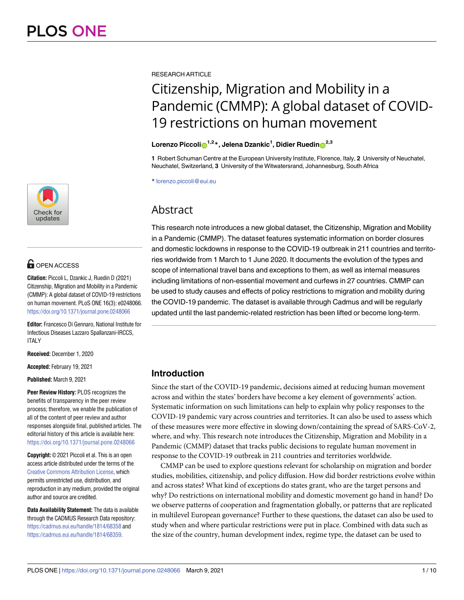

# **OPEN ACCESS**

**Citation:** Piccoli L, Dzankic J, Ruedin D (2021) Citizenship, Migration and Mobility in a Pandemic (CMMP): A global dataset of COVID-19 restrictions on human movement. PLoS ONE 16(3): e0248066. <https://doi.org/10.1371/journal.pone.0248066>

**Editor:** Francesco Di Gennaro, National Institute for Infectious Diseases Lazzaro Spallanzani-IRCCS, ITALY

**Received:** December 1, 2020

**Accepted:** February 19, 2021

**Published:** March 9, 2021

**Peer Review History:** PLOS recognizes the benefits of transparency in the peer review process; therefore, we enable the publication of all of the content of peer review and author responses alongside final, published articles. The editorial history of this article is available here: <https://doi.org/10.1371/journal.pone.0248066>

**Copyright:** © 2021 Piccoli et al. This is an open access article distributed under the terms of the Creative Commons [Attribution](http://creativecommons.org/licenses/by/4.0/) License, which permits unrestricted use, distribution, and reproduction in any medium, provided the original author and source are credited.

**Data Availability Statement:** The data is available through the CADMUS Research Data repository: <https://cadmus.eui.eu/handle/1814/68358> and <https://cadmus.eui.eu/handle/1814/68359>.

RESEARCH ARTICLE

# Citizenship, Migration and Mobility in a Pandemic (CMMP): A global dataset of COVID-19 restrictions on human movement

# $\mathsf{Lorenzo\ Piccoli}$   $\mathsf{D}^{1,2}$ \*, Jelena Dzankic<sup>1</sup>, Didier Ruedin $\mathsf{D}^{2,3}$

**1** Robert Schuman Centre at the European University Institute, Florence, Italy, **2** University of Neuchatel, Neuchatel, Switzerland, **3** University of the Witwatersrand, Johannesburg, South Africa

\* lorenzo.piccoli@eui.eu

# **Abstract**

This research note introduces a new global dataset, the Citizenship, Migration and Mobility in a Pandemic (CMMP). The dataset features systematic information on border closures and domestic lockdowns in response to the COVID-19 outbreak in 211 countries and territories worldwide from 1 March to 1 June 2020. It documents the evolution of the types and scope of international travel bans and exceptions to them, as well as internal measures including limitations of non-essential movement and curfews in 27 countries. CMMP can be used to study causes and effects of policy restrictions to migration and mobility during the COVID-19 pandemic. The dataset is available through Cadmus and will be regularly updated until the last pandemic-related restriction has been lifted or become long-term.

# **Introduction**

Since the start of the COVID-19 pandemic, decisions aimed at reducing human movement across and within the states' borders have become a key element of governments' action. Systematic information on such limitations can help to explain why policy responses to the COVID-19 pandemic vary across countries and territories. It can also be used to assess which of these measures were more effective in slowing down/containing the spread of SARS-CoV-2, where, and why. This research note introduces the Citizenship, Migration and Mobility in a Pandemic (CMMP) dataset that tracks public decisions to regulate human movement in response to the COVID-19 outbreak in 211 countries and territories worldwide.

CMMP can be used to explore questions relevant for scholarship on migration and border studies, mobilities, citizenship, and policy diffusion. How did border restrictions evolve within and across states? What kind of exceptions do states grant, who are the target persons and why? Do restrictions on international mobility and domestic movement go hand in hand? Do we observe patterns of cooperation and fragmentation globally, or patterns that are replicated in multilevel European governance? Further to these questions, the dataset can also be used to study when and where particular restrictions were put in place. Combined with data such as the size of the country, human development index, regime type, the dataset can be used to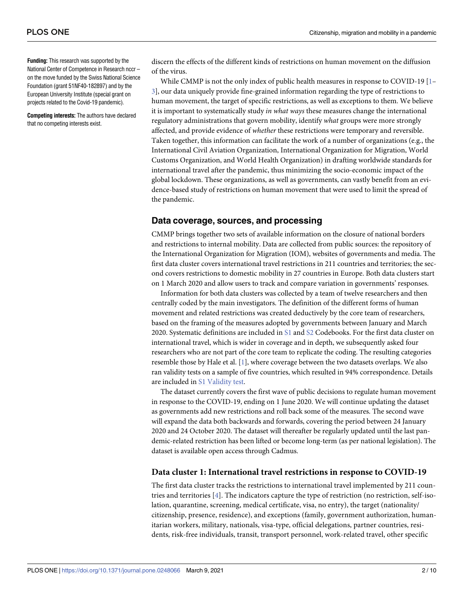<span id="page-1-0"></span>**Funding:** This research was supported by the National Center of Competence in Research nccr – on the move funded by the Swiss National Science Foundation (grant 51NF40-182897) and by the European University Institute (special grant on projects related to the Covid-19 pandemic).

**Competing interests:** The authors have declared that no competing interests exist.

discern the effects of the different kinds of restrictions on human movement on the diffusion of the virus.

While CMMP is not the only index of public health measures in response to COVID-19  $[1-$ [3\]](#page-8-0), our data uniquely provide fine-grained information regarding the type of restrictions to human movement, the target of specific restrictions, as well as exceptions to them. We believe it is important to systematically study *in what ways* these measures change the international regulatory administrations that govern mobility, identify *what* groups were more strongly affected, and provide evidence of *whether* these restrictions were temporary and reversible. Taken together, this information can facilitate the work of a number of organizations (e.g., the International Civil Aviation Organization, International Organization for Migration, World Customs Organization, and World Health Organization) in drafting worldwide standards for international travel after the pandemic, thus minimizing the socio-economic impact of the global lockdown. These organizations, as well as governments, can vastly benefit from an evidence-based study of restrictions on human movement that were used to limit the spread of the pandemic.

#### **Data coverage, sources, and processing**

CMMP brings together two sets of available information on the closure of national borders and restrictions to internal mobility. Data are collected from public sources: the repository of the International Organization for Migration (IOM), websites of governments and media. The first data cluster covers international travel restrictions in 211 countries and territories; the second covers restrictions to domestic mobility in 27 countries in Europe. Both data clusters start on 1 March 2020 and allow users to track and compare variation in governments' responses.

Information for both data clusters was collected by a team of twelve researchers and then centrally coded by the main investigators. The definition of the different forms of human movement and related restrictions was created deductively by the core team of researchers, based on the framing of the measures adopted by governments between January and March 2020. Systematic definitions are included in [S1](#page-8-0) and [S2](#page-8-0) Codebooks. For the first data cluster on international travel, which is wider in coverage and in depth, we subsequently asked four researchers who are not part of the core team to replicate the coding. The resulting categories resemble those by Hale et al. [\[1\]](#page-8-0), where coverage between the two datasets overlaps. We also ran validity tests on a sample of five countries, which resulted in 94% correspondence. Details are included in S1 [Validity](#page-8-0) test.

The dataset currently covers the first wave of public decisions to regulate human movement in response to the COVID-19, ending on 1 June 2020. We will continue updating the dataset as governments add new restrictions and roll back some of the measures. The second wave will expand the data both backwards and forwards, covering the period between 24 January 2020 and 24 October 2020. The dataset will thereafter be regularly updated until the last pandemic-related restriction has been lifted or become long-term (as per national legislation). The dataset is available open access through Cadmus.

#### **Data cluster 1: International travel restrictions in response to COVID-19**

The first data cluster tracks the restrictions to international travel implemented by 211 countries and territories [[4\]](#page-8-0). The indicators capture the type of restriction (no restriction, self-isolation, quarantine, screening, medical certificate, visa, no entry), the target (nationality/ citizenship, presence, residence), and exceptions (family, government authorization, humanitarian workers, military, nationals, visa-type, official delegations, partner countries, residents, risk-free individuals, transit, transport personnel, work-related travel, other specific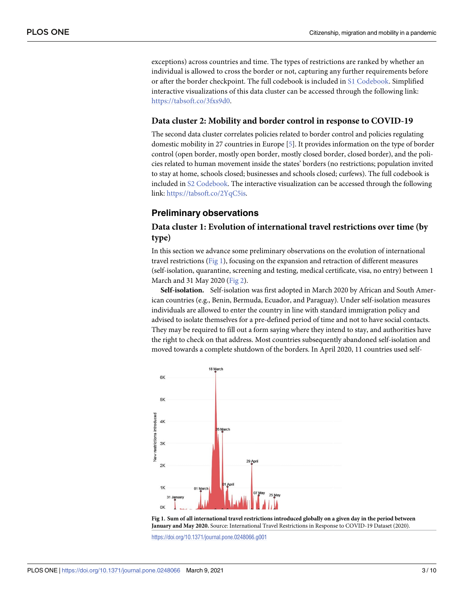<span id="page-2-0"></span>exceptions) across countries and time. The types of restrictions are ranked by whether an individual is allowed to cross the border or not, capturing any further requirements before or after the border checkpoint. The full codebook is included in S1 [Codebook](#page-8-0). Simplified interactive visualizations of this data cluster can be accessed through the following link: [https://tabsoft.co/3fxs9d0.](https://tabsoft.co/3fxs9d0)

#### **Data cluster 2: Mobility and border control in response to COVID-19**

The second data cluster correlates policies related to border control and policies regulating domestic mobility in 27 countries in Europe [\[5\]](#page-8-0). It provides information on the type of border control (open border, mostly open border, mostly closed border, closed border), and the policies related to human movement inside the states' borders (no restrictions; population invited to stay at home, schools closed; businesses and schools closed; curfews). The full codebook is included in S2 [Codebook.](#page-8-0) The interactive visualization can be accessed through the following link: [https://tabsoft.co/2YqC5is.](https://tabsoft.co/2YqC5is)

#### **Preliminary observations**

# **Data cluster 1: Evolution of international travel restrictions over time (by type)**

In this section we advance some preliminary observations on the evolution of international travel restrictions (Fig 1), focusing on the expansion and retraction of different measures (self-isolation, quarantine, screening and testing, medical certificate, visa, no entry) between 1 March and 31 May 2020 [\(Fig](#page-3-0) 2).

**Self-isolation.** Self-isolation was first adopted in March 2020 by African and South American countries (e.g., Benin, Bermuda, Ecuador, and Paraguay). Under self-isolation measures individuals are allowed to enter the country in line with standard immigration policy and advised to isolate themselves for a pre-defined period of time and not to have social contacts. They may be required to fill out a form saying where they intend to stay, and authorities have the right to check on that address. Most countries subsequently abandoned self-isolation and moved towards a complete shutdown of the borders. In April 2020, 11 countries used self-



Fig 1. Sum of all international travel restrictions introduced globally on a given day in the period between **January and May 2020.** Source: International Travel Restrictions in Response to COVID-19 Dataset (2020).

<https://doi.org/10.1371/journal.pone.0248066.g001>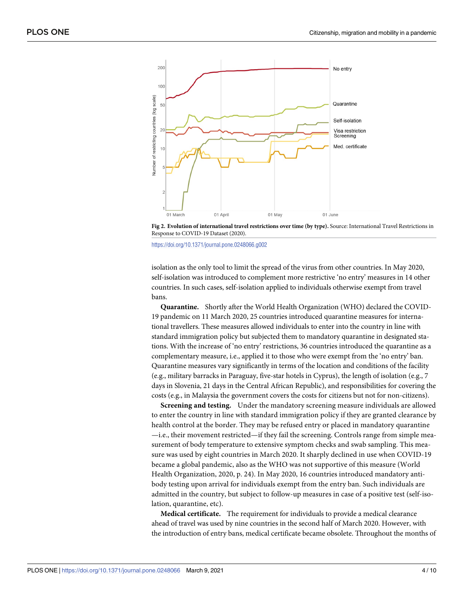<span id="page-3-0"></span>

**[Fig](#page-2-0) 2. Evolution of international travel restrictions over time (by type).** Source: International Travel Restrictions in Response to COVID-19 Dataset (2020).

<https://doi.org/10.1371/journal.pone.0248066.g002>

isolation as the only tool to limit the spread of the virus from other countries. In May 2020, self-isolation was introduced to complement more restrictive 'no entry' measures in 14 other countries. In such cases, self-isolation applied to individuals otherwise exempt from travel bans.

**Quarantine.** Shortly after the World Health Organization (WHO) declared the COVID-19 pandemic on 11 March 2020, 25 countries introduced quarantine measures for international travellers. These measures allowed individuals to enter into the country in line with standard immigration policy but subjected them to mandatory quarantine in designated stations. With the increase of 'no entry' restrictions, 36 countries introduced the quarantine as a complementary measure, i.e., applied it to those who were exempt from the 'no entry' ban. Quarantine measures vary significantly in terms of the location and conditions of the facility (e.g., military barracks in Paraguay, five-star hotels in Cyprus), the length of isolation (e.g., 7 days in Slovenia, 21 days in the Central African Republic), and responsibilities for covering the costs (e.g., in Malaysia the government covers the costs for citizens but not for non-citizens).

**Screening and testing.** Under the mandatory screening measure individuals are allowed to enter the country in line with standard immigration policy if they are granted clearance by health control at the border. They may be refused entry or placed in mandatory quarantine —i.e., their movement restricted—if they fail the screening. Controls range from simple measurement of body temperature to extensive symptom checks and swab sampling. This measure was used by eight countries in March 2020. It sharply declined in use when COVID-19 became a global pandemic, also as the WHO was not supportive of this measure (World Health Organization, 2020, p. 24). In May 2020, 16 countries introduced mandatory antibody testing upon arrival for individuals exempt from the entry ban. Such individuals are admitted in the country, but subject to follow-up measures in case of a positive test (self-isolation, quarantine, etc).

**Medical certificate.** The requirement for individuals to provide a medical clearance ahead of travel was used by nine countries in the second half of March 2020. However, with the introduction of entry bans, medical certificate became obsolete. Throughout the months of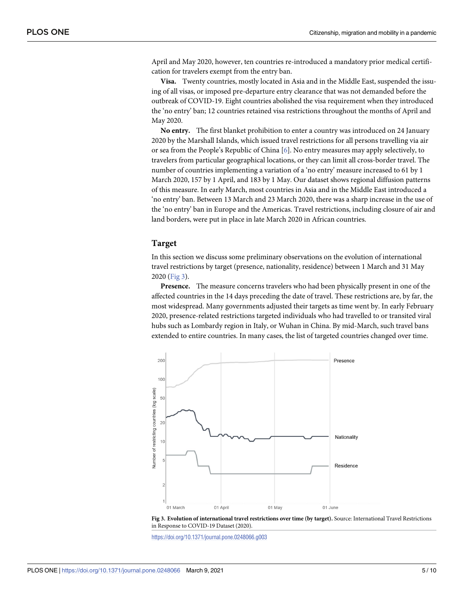<span id="page-4-0"></span>April and May 2020, however, ten countries re-introduced a mandatory prior medical certification for travelers exempt from the entry ban.

**Visa.** Twenty countries, mostly located in Asia and in the Middle East, suspended the issuing of all visas, or imposed pre-departure entry clearance that was not demanded before the outbreak of COVID-19. Eight countries abolished the visa requirement when they introduced the 'no entry' ban; 12 countries retained visa restrictions throughout the months of April and May 2020.

**No entry.** The first blanket prohibition to enter a country was introduced on 24 January 2020 by the Marshall Islands, which issued travel restrictions for all persons travelling via air or sea from the People's Republic of China [[6](#page-8-0)]. No entry measures may apply selectively, to travelers from particular geographical locations, or they can limit all cross-border travel. The number of countries implementing a variation of a 'no entry' measure increased to 61 by 1 March 2020, 157 by 1 April, and 183 by 1 May. Our dataset shows regional diffusion patterns of this measure. In early March, most countries in Asia and in the Middle East introduced a 'no entry' ban. Between 13 March and 23 March 2020, there was a sharp increase in the use of the 'no entry' ban in Europe and the Americas. Travel restrictions, including closure of air and land borders, were put in place in late March 2020 in African countries.

#### **Target**

In this section we discuss some preliminary observations on the evolution of international travel restrictions by target (presence, nationality, residence) between 1 March and 31 May 2020 (Fig 3).

**Presence.** The measure concerns travelers who had been physically present in one of the affected countries in the 14 days preceding the date of travel. These restrictions are, by far, the most widespread. Many governments adjusted their targets as time went by. In early February 2020, presence-related restrictions targeted individuals who had travelled to or transited viral hubs such as Lombardy region in Italy, or Wuhan in China. By mid-March, such travel bans extended to entire countries. In many cases, the list of targeted countries changed over time.





<https://doi.org/10.1371/journal.pone.0248066.g003>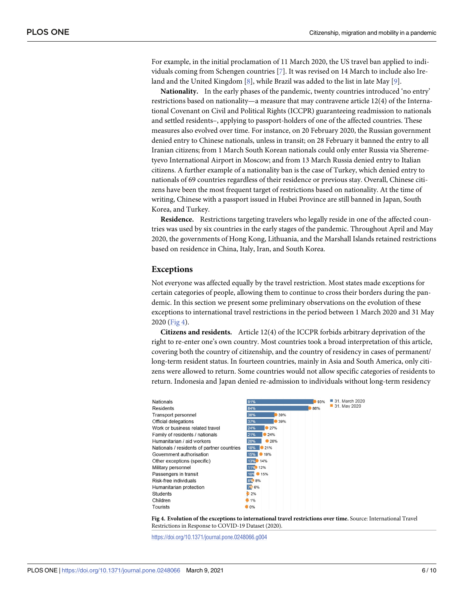<span id="page-5-0"></span>For example, in the initial proclamation of 11 March 2020, the US travel ban applied to individuals coming from Schengen countries [\[7](#page-9-0)]. It was revised on 14 March to include also Ireland and the United Kingdom [[8](#page-9-0)], while Brazil was added to the list in late May [[9\]](#page-9-0).

**Nationality.** In the early phases of the pandemic, twenty countries introduced 'no entry' restrictions based on nationality—a measure that may contravene article 12(4) of the International Covenant on Civil and Political Rights (ICCPR) guaranteeing readmission to nationals and settled residents–, applying to passport-holders of one of the affected countries. These measures also evolved over time. For instance, on 20 February 2020, the Russian government denied entry to Chinese nationals, unless in transit; on 28 February it banned the entry to all Iranian citizens; from 1 March South Korean nationals could only enter Russia via Sheremetyevo International Airport in Moscow; and from 13 March Russia denied entry to Italian citizens. A further example of a nationality ban is the case of Turkey, which denied entry to nationals of 69 countries regardless of their residence or previous stay. Overall, Chinese citizens have been the most frequent target of restrictions based on nationality. At the time of writing, Chinese with a passport issued in Hubei Province are still banned in Japan, South Korea, and Turkey.

**Residence.** Restrictions targeting travelers who legally reside in one of the affected countries was used by six countries in the early stages of the pandemic. Throughout April and May 2020, the governments of Hong Kong, Lithuania, and the Marshall Islands retained restrictions based on residence in China, Italy, Iran, and South Korea.

#### **Exceptions**

Not everyone was affected equally by the travel restriction. Most states made exceptions for certain categories of people, allowing them to continue to cross their borders during the pandemic. In this section we present some preliminary observations on the evolution of these exceptions to international travel restrictions in the period between 1 March 2020 and 31 May 2020 (Fig 4).

**Citizens and residents.** Article 12(4) of the ICCPR forbids arbitrary deprivation of the right to re-enter one's own country. Most countries took a broad interpretation of this article, covering both the country of citizenship, and the country of residency in cases of permanent/ long-term resident status. In fourteen countries, mainly in Asia and South America, only citizens were allowed to return. Some countries would not allow specific categories of residents to return. Indonesia and Japan denied re-admission to individuals without long-term residency

| <b>Nationals</b>                           | 91%        | 93% | 31. March 2020 |
|--------------------------------------------|------------|-----|----------------|
| Residents                                  | 84%        | 86% | 31. May 2020   |
| Transport personnel                        | 39%<br>38% |     |                |
| Official delegations                       | 37%<br>39% |     |                |
| Work or business related travel            | 27%<br>24% |     |                |
| Family of residents / nationals            | 21%<br>24% |     |                |
| Humanitarian / aid workers                 | 20%<br>28% |     |                |
| Nationals / residents of partner countries | 21%<br>18% |     |                |
| Government authorisation                   | 19%<br>15% |     |                |
| Other exceptions (specific)                | 13% 14%    |     |                |
| Military personnel                         | 11% 12%    |     |                |
| Passengers in transit                      | 10% 15%    |     |                |
| Risk-free individuals                      | 8% 8%      |     |                |
| Humanitarian protection                    | 79:6%      |     |                |
| <b>Students</b>                            | 12%        |     |                |
| Children                                   | $1\%$      |     |                |
| Tourists                                   | 0%         |     |                |

**Fig 4. Evolution of the exceptions to international travel restrictions over time.** Source: International Travel Restrictions in Response to COVID-19 Dataset (2020).

<https://doi.org/10.1371/journal.pone.0248066.g004>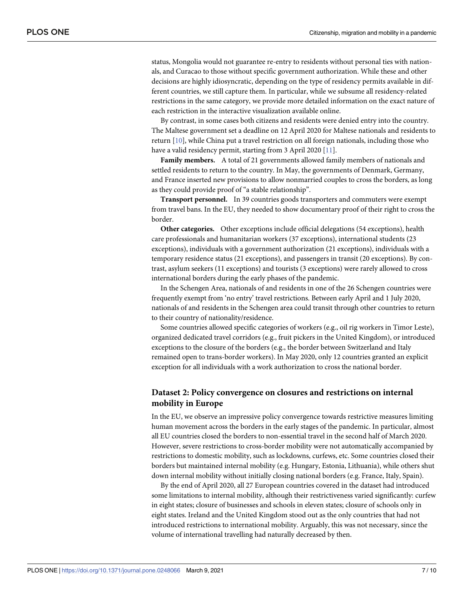<span id="page-6-0"></span>status, Mongolia would not guarantee re-entry to residents without personal ties with nationals, and Curacao to those without specific government authorization. While these and other decisions are highly idiosyncratic, depending on the type of residency permits available in different countries, we still capture them. In particular, while we subsume all residency-related restrictions in the same category, we provide more detailed information on the exact nature of each restriction in the interactive visualization available online.

By contrast, in some cases both citizens and residents were denied entry into the country. The Maltese government set a deadline on 12 April 2020 for Maltese nationals and residents to return [\[10\]](#page-9-0), while China put a travel restriction on all foreign nationals, including those who have a valid residency permit, starting from 3 April 2020 [[11](#page-9-0)].

**Family members.** A total of 21 governments allowed family members of nationals and settled residents to return to the country. In May, the governments of Denmark, Germany, and France inserted new provisions to allow nonmarried couples to cross the borders, as long as they could provide proof of "a stable relationship".

**Transport personnel.** In 39 countries goods transporters and commuters were exempt from travel bans. In the EU, they needed to show documentary proof of their right to cross the border.

**Other categories.** Other exceptions include official delegations (54 exceptions), health care professionals and humanitarian workers (37 exceptions), international students (23 exceptions), individuals with a government authorization (21 exceptions), individuals with a temporary residence status (21 exceptions), and passengers in transit (20 exceptions). By contrast, asylum seekers (11 exceptions) and tourists (3 exceptions) were rarely allowed to cross international borders during the early phases of the pandemic.

In the Schengen Area, nationals of and residents in one of the 26 Schengen countries were frequently exempt from 'no entry' travel restrictions. Between early April and 1 July 2020, nationals of and residents in the Schengen area could transit through other countries to return to their country of nationality/residence.

Some countries allowed specific categories of workers (e.g., oil rig workers in Timor Leste), organized dedicated travel corridors (e.g., fruit pickers in the United Kingdom), or introduced exceptions to the closure of the borders (e.g., the border between Switzerland and Italy remained open to trans-border workers). In May 2020, only 12 countries granted an explicit exception for all individuals with a work authorization to cross the national border.

# **Dataset 2: Policy convergence on closures and restrictions on internal mobility in Europe**

In the EU, we observe an impressive policy convergence towards restrictive measures limiting human movement across the borders in the early stages of the pandemic. In particular, almost all EU countries closed the borders to non-essential travel in the second half of March 2020. However, severe restrictions to cross-border mobility were not automatically accompanied by restrictions to domestic mobility, such as lockdowns, curfews, etc. Some countries closed their borders but maintained internal mobility (e.g. Hungary, Estonia, Lithuania), while others shut down internal mobility without initially closing national borders (e.g. France, Italy, Spain).

By the end of April 2020, all 27 European countries covered in the dataset had introduced some limitations to internal mobility, although their restrictiveness varied significantly: curfew in eight states; closure of businesses and schools in eleven states; closure of schools only in eight states. Ireland and the United Kingdom stood out as the only countries that had not introduced restrictions to international mobility. Arguably, this was not necessary, since the volume of international travelling had naturally decreased by then.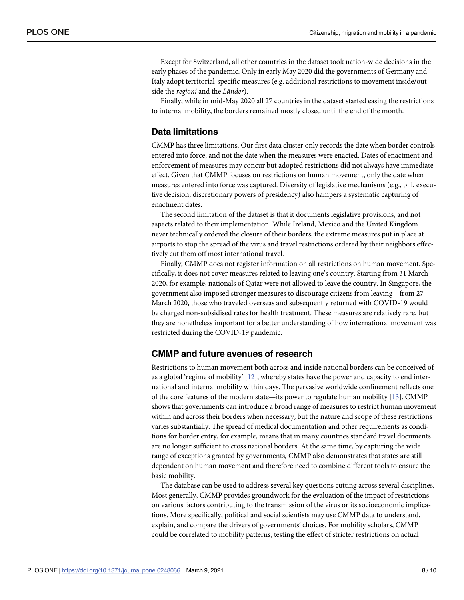<span id="page-7-0"></span>Except for Switzerland, all other countries in the dataset took nation-wide decisions in the early phases of the pandemic. Only in early May 2020 did the governments of Germany and Italy adopt territorial-specific measures (e.g. additional restrictions to movement inside/outside the *regioni* and the *Länder*).

Finally, while in mid-May 2020 all 27 countries in the dataset started easing the restrictions to internal mobility, the borders remained mostly closed until the end of the month.

#### **Data limitations**

CMMP has three limitations. Our first data cluster only records the date when border controls entered into force, and not the date when the measures were enacted. Dates of enactment and enforcement of measures may concur but adopted restrictions did not always have immediate effect. Given that CMMP focuses on restrictions on human movement, only the date when measures entered into force was captured. Diversity of legislative mechanisms (e.g., bill, executive decision, discretionary powers of presidency) also hampers a systematic capturing of enactment dates.

The second limitation of the dataset is that it documents legislative provisions, and not aspects related to their implementation. While Ireland, Mexico and the United Kingdom never technically ordered the closure of their borders, the extreme measures put in place at airports to stop the spread of the virus and travel restrictions ordered by their neighbors effectively cut them off most international travel.

Finally, CMMP does not register information on all restrictions on human movement. Specifically, it does not cover measures related to leaving one's country. Starting from 31 March 2020, for example, nationals of Qatar were not allowed to leave the country. In Singapore, the government also imposed stronger measures to discourage citizens from leaving—from 27 March 2020, those who traveled overseas and subsequently returned with COVID-19 would be charged non-subsidised rates for health treatment. These measures are relatively rare, but they are nonetheless important for a better understanding of how international movement was restricted during the COVID-19 pandemic.

## **CMMP and future avenues of research**

Restrictions to human movement both across and inside national borders can be conceived of as a global 'regime of mobility'  $[12]$  $[12]$  $[12]$ , whereby states have the power and capacity to end international and internal mobility within days. The pervasive worldwide confinement reflects one of the core features of the modern state—its power to regulate human mobility [\[13\]](#page-9-0). CMMP shows that governments can introduce a broad range of measures to restrict human movement within and across their borders when necessary, but the nature and scope of these restrictions varies substantially. The spread of medical documentation and other requirements as conditions for border entry, for example, means that in many countries standard travel documents are no longer sufficient to cross national borders. At the same time, by capturing the wide range of exceptions granted by governments, CMMP also demonstrates that states are still dependent on human movement and therefore need to combine different tools to ensure the basic mobility.

The database can be used to address several key questions cutting across several disciplines. Most generally, CMMP provides groundwork for the evaluation of the impact of restrictions on various factors contributing to the transmission of the virus or its socioeconomic implications. More specifically, political and social scientists may use CMMP data to understand, explain, and compare the drivers of governments' choices. For mobility scholars, CMMP could be correlated to mobility patterns, testing the effect of stricter restrictions on actual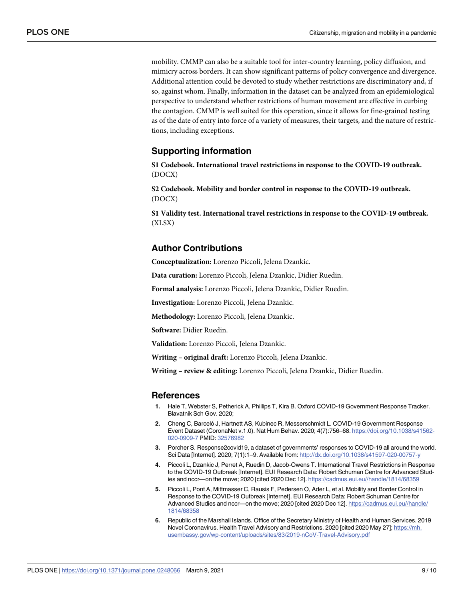<span id="page-8-0"></span>mobility. CMMP can also be a suitable tool for inter-country learning, policy diffusion, and mimicry across borders. It can show significant patterns of policy convergence and divergence. Additional attention could be devoted to study whether restrictions are discriminatory and, if so, against whom. Finally, information in the dataset can be analyzed from an epidemiological perspective to understand whether restrictions of human movement are effective in curbing the contagion. CMMP is well suited for this operation, since it allows for fine-grained testing as of the date of entry into force of a variety of measures, their targets, and the nature of restrictions, including exceptions.

## **Supporting information**

**S1 [Codebook.](http://www.plosone.org/article/fetchSingleRepresentation.action?uri=info:doi/10.1371/journal.pone.0248066.s001) International travel restrictions in response to the COVID-19 outbreak.** (DOCX)

**S2 [Codebook.](http://www.plosone.org/article/fetchSingleRepresentation.action?uri=info:doi/10.1371/journal.pone.0248066.s002) Mobility and border control in response to the COVID-19 outbreak.** (DOCX)

**S1 [Validity](http://www.plosone.org/article/fetchSingleRepresentation.action?uri=info:doi/10.1371/journal.pone.0248066.s003) test. International travel restrictions in response to the COVID-19 outbreak.** (XLSX)

# **Author Contributions**

**Conceptualization:** Lorenzo Piccoli, Jelena Dzankic.

**Data curation:** Lorenzo Piccoli, Jelena Dzankic, Didier Ruedin.

**Formal analysis:** Lorenzo Piccoli, Jelena Dzankic, Didier Ruedin.

**Investigation:** Lorenzo Piccoli, Jelena Dzankic.

**Methodology:** Lorenzo Piccoli, Jelena Dzankic.

**Software:** Didier Ruedin.

**Validation:** Lorenzo Piccoli, Jelena Dzankic.

**Writing – original draft:** Lorenzo Piccoli, Jelena Dzankic.

**Writing – review & editing:** Lorenzo Piccoli, Jelena Dzankic, Didier Ruedin.

#### **References**

- **[1](#page-1-0).** Hale T, Webster S, Petherick A, Phillips T, Kira B. Oxford COVID-19 Government Response Tracker. Blavatnik Sch Gov. 2020;
- 2. Cheng C, Barcelo<sup>*I*</sup>, Hartnett AS, Kubinec R, Messerschmidt L. COVID-19 Government Response Event Dataset (CoronaNet v.1.0). Nat Hum Behav. 2020; 4(7):756–68. [https://doi.org/10.1038/s41562-](https://doi.org/10.1038/s41562-020-0909-7) [020-0909-7](https://doi.org/10.1038/s41562-020-0909-7) PMID: [32576982](http://www.ncbi.nlm.nih.gov/pubmed/32576982)
- **[3](#page-1-0).** Porcher S. Response2covid19, a dataset of governments' responses to COVID-19 all around the world. Sci Data [Internet]. 2020; 7(1):1–9. Available from: <http://dx.doi.org/10.1038/s41597-020-00757-y>
- **[4](#page-1-0).** Piccoli L, Dzankic J, Perret A, Ruedin D, Jacob-Owens T. International Travel Restrictions in Response to the COVID-19 Outbreak [Internet]. EUI Research Data: Robert Schuman Centre for Advanced Studies and nccr—on the move; 2020 [cited 2020 Dec 12]. <https://cadmus.eui.eu//handle/1814/68359>
- **[5](#page-2-0).** Piccoli L, Pont A, Mittmasser C, Rausis F, Pedersen O, Ader L, et al. Mobility and Border Control in Response to the COVID-19 Outbreak [Internet]. EUI Research Data: Robert Schuman Centre for Advanced Studies and nccr—on the move; 2020 [cited 2020 Dec 12]. [https://cadmus.eui.eu//handle/](https://cadmus.eui.eu//handle/1814/68358) [1814/68358](https://cadmus.eui.eu//handle/1814/68358)
- **[6](#page-4-0).** Republic of the Marshall Islands. Office of the Secretary Ministry of Health and Human Services. 2019 Novel Coronavirus. Health Travel Advisory and Restrictions. 2020 [cited 2020 May 27]; [https://mh.](https://mh.usembassy.gov/wp-content/uploads/sites/83/2019-nCoV-Travel-Advisory.pdf) [usembassy.gov/wp-content/uploads/sites/83/2019-nCoV-Travel-Advisory.pdf](https://mh.usembassy.gov/wp-content/uploads/sites/83/2019-nCoV-Travel-Advisory.pdf)